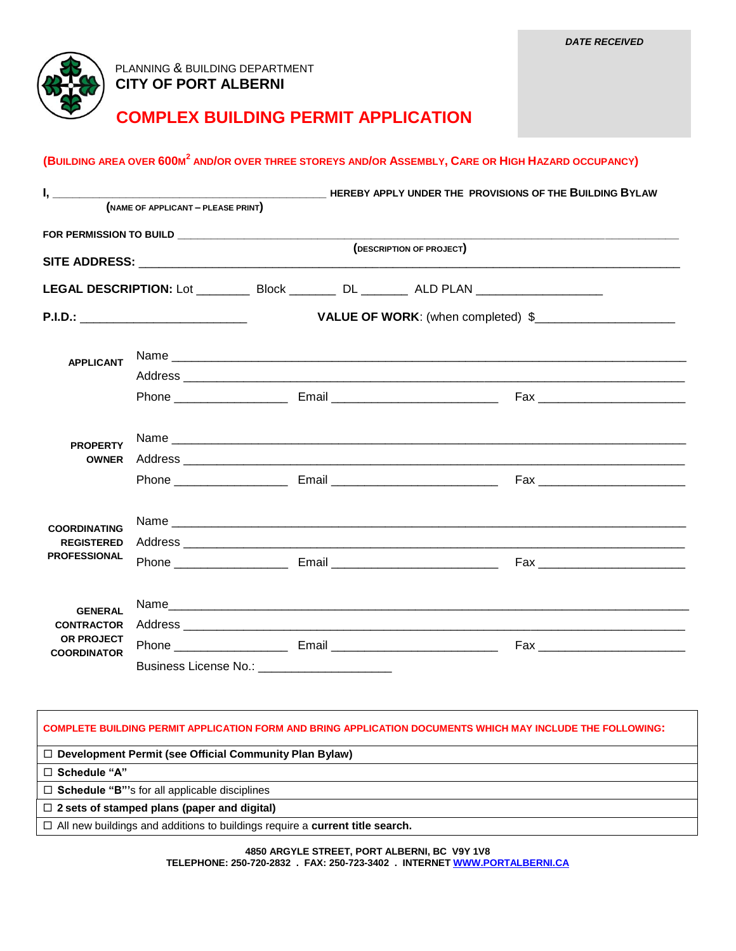

## PLANNING & BUILDING DEPARTMENT  **CITY OF PORT ALBERNI**

## **COMPLEX BUILDING PERMIT APPLICATION**

## (BUILDING AREA OVER 600M<sup>2</sup> AND/OR OVER THREE STOREYS AND/OR ASSEMBLY, CARE OR HIGH HAZARD OCCUPANCY)

|                                                                         | (NAME OF APPLICANT - PLEASE PRINT) |                                                 |                                                                                                               |  |
|-------------------------------------------------------------------------|------------------------------------|-------------------------------------------------|---------------------------------------------------------------------------------------------------------------|--|
|                                                                         |                                    |                                                 |                                                                                                               |  |
|                                                                         |                                    | (DESCRIPTION OF PROJECT)                        |                                                                                                               |  |
|                                                                         |                                    |                                                 |                                                                                                               |  |
|                                                                         |                                    |                                                 | LEGAL DESCRIPTION: Lot ____________ Block __________ DL _________ ALD PLAN ________________________           |  |
| P.I.D.: _________________________________                               |                                    |                                                 |                                                                                                               |  |
| <b>APPLICANT</b>                                                        |                                    |                                                 |                                                                                                               |  |
|                                                                         |                                    |                                                 |                                                                                                               |  |
|                                                                         |                                    |                                                 |                                                                                                               |  |
|                                                                         |                                    |                                                 |                                                                                                               |  |
| <b>PROPERTY</b><br><b>OWNER</b>                                         |                                    |                                                 | Address experiences and a series of the series of the series of the series of the series of the series of the |  |
|                                                                         |                                    |                                                 | Phone <b>Email</b> Email <b>Email Email Example 2018</b>                                                      |  |
| <b>COORDINATING</b><br><b>REGISTERED</b><br><b>PROFESSIONAL</b>         |                                    |                                                 |                                                                                                               |  |
|                                                                         |                                    |                                                 |                                                                                                               |  |
|                                                                         |                                    |                                                 |                                                                                                               |  |
| <b>GENERAL</b><br><b>CONTRACTOR</b><br>OR PROJECT<br><b>COORDINATOR</b> |                                    |                                                 |                                                                                                               |  |
|                                                                         |                                    |                                                 |                                                                                                               |  |
|                                                                         |                                    |                                                 |                                                                                                               |  |
|                                                                         |                                    | Business License No.: _________________________ |                                                                                                               |  |

**COMPLETE BUILDING PERMIT APPLICATION FORM AND BRING APPLICATION DOCUMENTS WHICH MAY INCLUDE THE FOLLOWING:**

**Development Permit (see Official Community Plan Bylaw)**

**Schedule "A"**

**Schedule "B"'**s for all applicable disciplines

**2 sets of stamped plans (paper and digital)**

All new buildings and additions to buildings require a **current title search.**

**4850 ARGYLE STREET, PORT ALBERNI, BC V9Y 1V8 TELEPHONE: 250-720-2832 . FAX: 250-723-3402 . INTERNE[T WWW.PORTALBERNI.CA](http://www.portalberni.ca/)**